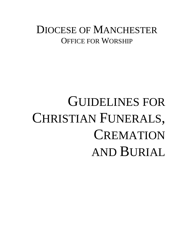### DIOCESE OF MANCHESTER OFFICE FOR WORSHIP

## GUIDELINES FOR CHRISTIAN FUNERALS, **CREMATION** AND BURIAL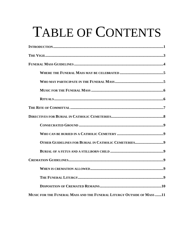# TABLE OF CONTENTS

| OTHER GUIDELINES FOR BURIAL IN CATHOLIC CEMETERIES9                   |
|-----------------------------------------------------------------------|
|                                                                       |
|                                                                       |
|                                                                       |
|                                                                       |
|                                                                       |
| MUSIC FOR THE FUNERAL MASS AND THE FUNERAL LITURGY OUTSIDE OF MASS 11 |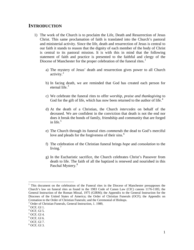#### **INTRODUCTION**

- 1) The work of the Church is to proclaim the Life, Death and Resurrection of Jesus Christ. This same proclamation of faith is translated into the Church's pastoral and ministerial activity. Since the life, death and resurrection of Jesus is central to our faith it stands to reason that the dignity of each member of the body of Christ is central to its pastoral mission. It is with this in mind that the following statement of faith and practice is presented to the faithful and clergy of the Diocese of Manchester for the proper celebration of the funeral rites.<sup>[1](#page-2-0)</sup>
	- a) The mystery of Jesus' death and resurrection gives power to all Church activity. $^{2}$  $^{2}$  $^{2}$
	- b) In facing death, we are reminded that God has created each person for eternal life. $3$
	- c) We celebrate the funeral rites to offer *worship, praise and thanksgiving* to God for the gift of life, which has now been returned to the author of life.<sup>[4](#page-2-3)</sup>
	- d) At the death of a Christian, the Church *intercedes* on behalf of the deceased. We are confident in the conviction that death is not the end nor does it break the bonds of family, friendship and community that are forged in life. $5$
	- e) The Church through its funeral rites *commends* the dead to God's merciful love and pleads for the forgiveness of their sins.<sup>[6](#page-2-5)</sup>
	- f) The celebration of the Christian funeral brings *hope* and *consolation* to the living. $7$
	- g) In the Eucharistic sacrifice, the Church celebrates Christ's Passover from death to life. The faith of all the baptized is renewed and nourished in this Paschal Mystery.<sup>[8](#page-2-7)</sup>

<span id="page-2-0"></span><sup>&</sup>lt;sup>1</sup> This document on the celebration of the Funeral rites in the Diocese of Manchester presupposes the Church's law on funeral rites as found in the 1983 Code of Canon Law (CIC) canons 1176-1185; the General Instruction of the Roman Missal, 1975 (GIRM); the Appendix to the General Instruction for the Dioceses of the United States of America; the Order of Christian Funerals (OCF); the Appendix on Cremation to the Order of Christian Funerals; and the Ceremonial of Bishops.

<span id="page-2-1"></span> $2^2$  Order of Christian Funerals, General Instruction, 1. 1989,  $3$  OCF, GI 1.

<span id="page-2-3"></span><span id="page-2-2"></span> $^4$  OCF, GI 5.

<span id="page-2-4"></span> $5$  OCF, GI 4.

<span id="page-2-5"></span> $6$  OCF, GI 6.

<span id="page-2-6"></span> $<sup>7</sup>$  OCF, GI 7.</sup>

<span id="page-2-7"></span> $8$  OCF, GI 3.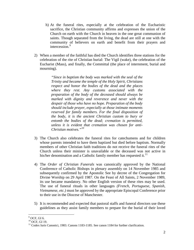- h) At the funeral rites, especially at the celebration of the Eucharistic sacrifice, the Christian community affirms and expresses the union of the Church on earth with the Church in heaven in the one great communion of saints. Though separated from the living, the dead are still at one with the community of believers on earth and benefit from their prayers and intercession.<sup>[9](#page-3-0)</sup>
- 2) When a member of the faithful has died the Church identifies three stations for the celebration of the rite of Christian burial: The Vigil (wake), the celebration of the Eucharist (Mass), and finally, the Committal (the place of internment, burial and mourning).

*"Since in baptism the body was marked with the seal of the Trinity and became the temple of the Holy Spirit, Christians respect and honor the bodies of the dead and the places where they rest. Any customs associated with the preparation of the body of the deceased should always be marked with dignity and reverence and never with the despair of those who have no hope. Preparation of the body should include prayer, especially at those intimate moments reserved for family members. For the final disposition of the body, it is the ancient Christian custom to bury or entomb the bodies of the dead; cremation is permitted, unless it is evident that cremation was chosen for anti-Christian motives."[10](#page-3-1)*

- 3) The Church also celebrates the funeral rites for catechumens and for children whose parents intended to have them baptized but died before baptism. Normally members of other Christian faith traditions do not receive the funeral rites of the Church unless their minister is unavailable or the deceased was not active in his/her denomination and a Catholic family member has requested it. $^{11}$  $^{11}$  $^{11}$
- 4) The *Order of Christian Funerals* was canonically approved by the National Conference of Catholic Bishops in plenary assembly on 14 November 1985 and subsequently confirmed by the Apostolic See by decree of the Congregation for Divine Worship on 29 April 1987. On the Feast of All Saints, 2 November 1989, its use became mandatory. No other English version of these rites may be used. The use of funeral rituals in other languages *(French, Portuguese, Spanish, Vietnamese, etc.)* must be approved by the appropriate Episcopal Conference prior to their use in the Diocese of Manchester.
- 5) It is recommended and expected that pastoral staffs and funeral directors use these guidelines as they assist family members to prepare for the burial of their loved

<span id="page-3-0"></span> $\frac{9}{10}$  OCF, GI 6.<br>
<sup>10</sup> OCF, GI 19.

<span id="page-3-2"></span><span id="page-3-1"></span> $11$  Codex Iuris Canonici, 1983. Canons 1183-1185. See canon 1184 for further clarification.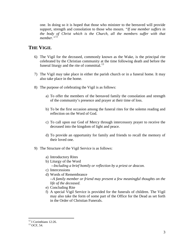one. In doing so it is hoped that those who minister to the bereaved will provide support, strength and consolation to those who mourn. *"If one member suffers in the body of Christ which is the Church, all the members suffer with that member."*[12](#page-4-0)

#### **THE VIGIL**

- 6) The Vigil for the deceased, commonly known as the Wake, is the principal rite celebrated by the Christian community at the time following death and before the funeral liturgy and the rite of committal. $^{13}$  $^{13}$  $^{13}$
- 7) The Vigil may take place in either the parish church or in a funeral home. It may also take place in the home.
- 8) The purpose of celebrating the Vigil is as follows:
	- a) To offer the members of the bereaved family the consolation and strength of the community's presence and prayer at their time of loss.
	- b) To be the first occasion among the funeral rites for the solemn reading and reflection on the Word of God.
	- c) To call upon our God of Mercy through intercessory prayer to receive the deceased into the kingdom of light and peace.
	- d) To provide an opportunity for family and friends to recall the memory of their loved one.
- 9) The Structure of the Vigil Service is as follows:
	- a) Introductory Rites
	- b) Liturgy of the Word *--Including a brief homily or reflection by a priest or deacon.*
	- c) Intercessions
	- d) Words of Remembrance *--A family member or friend may present a few meaningful thoughts on the life of the deceased.*
	- e) Concluding Rite
	- f) A special Vigil Service is provided for the funerals of children. The Vigil may also take the form of some part of the Office for the Dead as set forth in the Order of Christian Funerals.

<span id="page-4-1"></span><span id="page-4-0"></span> $12$  I Corinthians 12:26.<br> $13$  OCF, 54.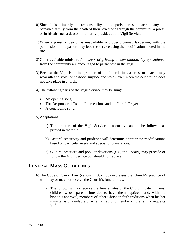- 10) Since it is primarily the responsibility of the parish priest to accompany the bereaved family from the death of their loved one through the committal, a priest, or in his absence a deacon, ordinarily presides at the Vigil Service.
- 11) When a priest or deacon is unavailable, a properly trained layperson, with the permission of the pastor, may lead the service using the modifications noted in the rite.
- 12) Other available ministers *(ministers of grieving or consolation; lay apostolates)* from the community are encouraged to participate in the Vigil.
- 13) Because the Vigil is an integral part of the funeral rites, a priest or deacon may wear alb and stole (or cassock, surplice and stole), even when the celebration does not take place in church.
- 14) The following parts of the Vigil Service may be sung:
	- An opening song
	- The Responsorial Psalm, Intercessions and the Lord's Prayer
	- A concluding song.
- 15) Adaptations
	- a) The structure of the Vigil Service is normative and to be followed as printed in the ritual.
	- b) Pastoral sensitivity and prudence will determine appropriate modifications based on particular needs and special circumstances.
	- c) Cultural practices and popular devotions (e.g., the Rosary) may precede or follow the Vigil Service but should not replace it.

#### **FUNERAL MASS GUIDELINES**

- 16) The Code of Canon Law (canons 1183-1185) expresses the Church's practice of who may or may not receive the Church's funeral rites.
	- a) The following may receive the funeral rites of the Church: Catechumens; children whose parents intended to have them baptized; and, with the bishop's approval, members of other Christian faith traditions when his/her minister is unavailable or when a Catholic member of the family requests it. $14$

<span id="page-5-0"></span><sup>&</sup>lt;sup>14</sup> CIC, 1183.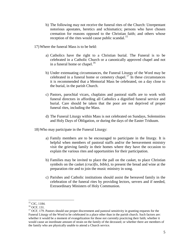- b) The following may not receive the funeral rites of the Church: Unrepentant notorious apostates, heretics and schismatics; persons who have chosen cremation for reasons opposed to the Christian faith; and others whose reception of the rites would cause public scandal.<sup>[15](#page-6-0)</sup>
- 17) Where the funeral Mass is to be held:
	- a) Catholics have the right to a Christian burial. The Funeral is to be celebrated in a Catholic Church or a canonically approved chapel and not in a funeral home or chapel. $16$
	- b) Under extenuating circumstances, the Funeral Liturgy of the Word may be celebrated in a funeral home or cemetery chapel.<sup>[17](#page-6-2)</sup> In these circumstances it is recommended that a Memorial Mass be celebrated, on a day close to the burial, in the parish Church.
	- c) Pastors, parochial vicars, chaplains and pastoral staffs are to work with funeral directors in affording all Catholics a dignified funeral service and burial. Care should be taken that the poor are not deprived of proper funeral rites, including the Mass.
	- d) The Funeral Liturgy within Mass is not celebrated on Sundays, Solemnities and Holy Days of Obligation, or during the days of the Easter Triduum.
- 18) Who may participate in the Funeral Liturgy:
	- a) Family members are to be encouraged to participate in the liturgy. It is helpful when members of pastoral staffs and/or the bereavement ministry visit the grieving family in their homes where they have the occasion to explain the various rites and opportunities for their participation.
	- b) Families may be invited to place the pall on the casket, to place Christian symbols on the casket *(crucifix, bible)*, to present the bread and wine at the preparation rite and to join the music ministry in song.
	- c) Parishes and Catholic institutions should assist the bereaved family in the celebration of the funeral rites by providing lectors, servers and if needed, Extraordinary Ministers of Holy Communion.

<span id="page-6-2"></span>

<span id="page-6-1"></span><span id="page-6-0"></span><sup>&</sup>lt;sup>15</sup> CIC, 1184.<br><sup>16</sup> OCF, 131.<br><sup>17</sup> OCF. 179. Pastors should use proper discernment and pastoral sensitivity in granting requests for the Funeral Liturgy of the Word to be celebrated in a place other than in the parish church. Such factors are: whether it would be a moment of evangelization for those not currently practicing their faith; whether it would cause an inordinate amount of strain on the family of the deceased; or whether there are members of the family who are physically unable to attend a Church service.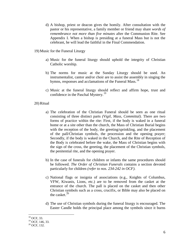- d) A bishop, priest or deacon gives the homily. After consultation with the pastor or his representative, a family member or friend may share *words of remembrance not more than five minutes* after the Communion Rite. See Appendix I. When a bishop is presiding at a funeral Mass but is not the celebrant, he will lead the faithful in the Final Commendation.
- 19) Music for the Funeral Liturgy
	- a) Music for the funeral liturgy should uphold the integrity of Christian Catholic worship.
	- b) The norms for music at the Sunday Liturgy should be used. An instrumentalist, cantor and/or choir are to assist the assembly in singing the hymns, responses and acclamations of the Funeral Mass.<sup>[18](#page-7-0)</sup>
	- c) Music at the funeral liturgy should reflect and affirm hope, trust and confidence in the Paschal Mystery.<sup>[19](#page-7-1)</sup>

#### 20) Ritual

- a) The celebration of the Christian Funeral should be seen as one ritual consisting of three distinct parts *(Vigil, Mass, Committal)*. There are two forms of practice within the rite: First, if the body is waked in a funeral home or at a site other than the church, the Mass of Christian Burial begins with the reception of the body, the greeting/sprinkling, and the placement of the pall/Christian symbols, the procession and the opening prayer; Secondly, if the body is waked in the Church, and the Rite of Reception of the Body is celebrated before the wake, the Mass of Christian begins with the sign of the cross, the greeting, the placement of the Christian symbols, the penitential rite, and the opening prayer.
- b) In the case of funerals for children or infants the same procedures should be followed. *The Order of Christian Funerals* contains a section devoted particularly for children *(refer to nos. 234-242 in OCF)*.
- c) National flags or insignia of associations (e.g., Knights of Columbus, VFW, Kiwanis, Lions, etc.) are to be removed from the casket at the entrance of the church. The pall is placed on the casket and then other Christian symbols such as a cross, crucifix, or Bible may also be placed on the casket. $20$
- d) The use of Christian symbols during the funeral liturgy is encouraged. The Easter Candle holds the principal place among the symbols since it burns

<span id="page-7-0"></span><sup>&</sup>lt;sup>18</sup> OCF, 33.

<span id="page-7-1"></span> $^{19}$  OCF, 146, 33.<br><sup>20</sup> OCF, 132.

<span id="page-7-2"></span>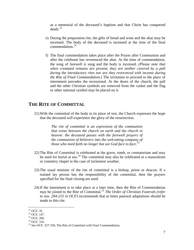as a memorial of the deceased's baptism and that Christ has conquered  $death.<sup>21</sup>$  $death.<sup>21</sup>$  $death.<sup>21</sup>$ 

- e) During the preparation rite, the gifts of bread and wine and the altar may be incensed. The body of the deceased is incensed at the time of the final commendation.<sup>[22](#page-8-1)</sup>
- f) The final commendation takes place after the Prayer after Communion and after the celebrant has reverenced the altar. At the time of commendation, the song of farewell is sung and the body is incensed. *(Please note that when cremated remains are present, they are neither covered by a pall during the introductory rites nor are they reverenced with incense during the Rite of Final Commendation.)* The invitation to proceed to the place of internment precedes the recessional. At the doors of the church, the pall and the other Christian symbols are removed from the casket and the flag or other national symbol may be placed on it.

#### **THE RITE OF COMMITTAL**

21) With the committal of the body in its place of rest, the Church expresses the hope that the deceased will experience the glory of the resurrection.

> *The rite of committal is an expression of the communion that exists between the church on earth and the church in heaven: the deceased passes with the farewell prayers of the communion of believers into the welcoming company of those who need faith no longer but see God face to face*. [23](#page-8-2)

- 22) The Rite of Committal is celebrated at the grave, tomb, or crematorium and may be used for burial at sea.<sup>[24](#page-8-3)</sup> The committal may also be celebrated at a mausoleum or cemetery chapel in the case of inclement weather.
- 23) The usual minister of the rite of committal is a bishop, priest or deacon. If a trained lay person has the responsibility of the committal, then the prayers specified for the final closing are used.
- 24) If the internment is to take place at a later time, then the Rite of Commendation may be joined to the Rite of Committal.[25](#page-8-4) *The Order of Christian Funerals (refer to nos. 204-215 in OCF)* recommends that at times pastoral adaptations should be made to this rite.

<span id="page-8-1"></span>

<span id="page-8-3"></span><span id="page-8-2"></span>

<span id="page-8-4"></span>

<span id="page-8-0"></span><sup>&</sup>lt;sup>21</sup> OCF, 35.<br>
<sup>22</sup> OCF, 147.<br>
<sup>23</sup> OCF, 206.<br>
<sup>24</sup> OCF, 316.<br>
<sup>25</sup> See OCF, 327-336, The Rite of Committal with Final Commendation.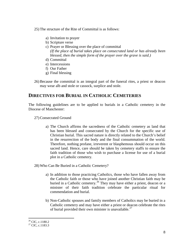25) The structure of the Rite of Committal is as follows:

- a) Invitation to prayer
- b) Scripture verse
- c) Prayer or Blessing over the place of committal *(If the place of burial takes place on consecrated land or has already been blessed, then the simple form of the prayer over the grave is said.)*
- d) Committal
- e) Intercessions
- f) Our Father
- g) Final blessing
- 26) Because the committal is an integral part of the funeral rites, a priest or deacon may wear alb and stole or cassock, surplice and stole.

#### **DIRECTIVES FOR BURIAL IN CATHOLIC CEMETERIES**

The following guidelines are to be applied to burials in a Catholic cemetery in the Diocese of Manchester:

27) Consecrated Ground

a) The Church affirms the sacredness of the Catholic cemetery as land that has been blessed and consecrated by the Church for the specific use of Christian burial. This sacred nature is directly related to the Church's belief in the resurrection of the body and the final consummation of the world. Therefore, nothing profane, irreverent or blasphemous should occur on this sacred land. Hence, care should be taken by cemetery staffs to ensure the faith tradition of those who wish to purchase a license for use of a burial plot in a Catholic cemetery.

28) Who Can Be Buried in a Catholic Cemetery?

- a) In addition to those practicing Catholics, those who have fallen away from the Catholic faith or those who have joined another Christian faith may be buried in a Catholic cemetery.<sup>[26](#page-9-0)</sup> They may have either a priest, deacon or a minister of their faith tradition celebrate the particular ritual for commendation and burial.
- b) Non-Catholic spouses and family members of Catholics may be buried in a Catholic cemetery and may have either a priest or deacon celebrate the rites of burial provided their own minister is unavailable.<sup>[27](#page-9-1)</sup>

<span id="page-9-1"></span><span id="page-9-0"></span> $^{26}$  CIC, c.1180.2<br><sup>27</sup> CIC, c.1183.3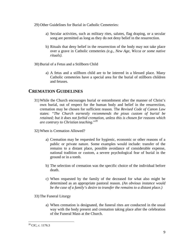- 29) Other Guidelines for Burial in Catholic Cemeteries:
	- a) Secular activities, such as military rites, salutes, flag draping, or a secular song are permitted as long as they do not deny belief in the resurrection.
	- b) Rituals that deny belief in the resurrection of the body may not take place over a grave in Catholic cemeteries *(e.g., New Age, Wicca or some native rituals)*.
- 30) Burial of a Fetus and a Stillborn Child
	- a) A fetus and a stillborn child are to be interred in a blessed place. Many Catholic cemeteries have a special area for the burial of stillborn children and fetuses.

#### **CREMATION GUIDELINES**

- 31) While the Church encourages burial or entombment after the manner of Christ's own burial, out of respect for the human body and belief in the resurrection, cremation may be chosen for sufficient reason. The *Revised Code of Canon Law* states: *"The Church earnestly recommends the pious custom of burial be retained; but it does not forbid cremation, unless this is chosen for reasons which are contrary to Christian teaching*."[28](#page-10-0)
- 32) When is Cremation Allowed?
	- a) Cremation may be requested for hygienic, economic or other reasons of a public or private nature. Some examples would include: transfer of the remains to a distant place, possible avoidance of considerable expense, national tradition or custom, a severe psychological fear of burial in the ground or in a tomb.
	- b) The selection of cremation was the specific choice of the individual before death.
	- c) When requested by the family of the deceased for what also might be determined as an appropriate pastoral reason. *(An obvious instance would be the case of a family's desire to transfer the remains to a distant place.)*
- 33) The Funeral Liturgy
	- a) When cremation is designated, the funeral rites are conducted in the usual way with the body present and cremation taking place after the celebration of the Funeral Mass at the Church.

<span id="page-10-0"></span><sup>&</sup>lt;sup>28</sup> CIC, c. 1176.3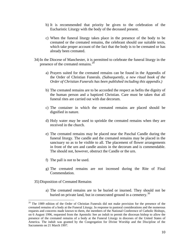- b) It is recommended that priority be given to the celebration of the Eucharistic Liturgy with the body of the deceased present.
- c) When the funeral liturgy takes place in the presence of the body to be cremated or the cremated remains, the celebrant should use suitable texts, which take proper account of the fact that the body is to be cremated or has already been cremated.
- 34) In the Diocese of Manchester, it is permitted to celebrate the funeral liturgy in the presence of the cremated remains.<sup>[29](#page-11-0)</sup>
	- a) Prayers suited for the cremated remains can be found in the Appendix of the Order of Christian Funerals. *(Subsequently, a new ritual book of the Order of Christian Funerals has been published including this appendix.)*
	- b) The cremated remains are to be accorded the respect as befits the dignity of the human person and a baptized Christian. Care must be taken that all funeral rites are carried out with due decorum.
	- c) The container in which the cremated remains are placed should be dignified in nature.
	- d) Holy water may be used to sprinkle the cremated remains when they are received in the church.
	- e) The cremated remains may be placed near the Paschal Candle during the funeral liturgy. The candle and the cremated remains may be placed in the sanctuary so as to be visible to all. The placement of flower arrangements in front of the urn and candle assists in the decorum and is commendable. The should not, however, obstruct the Candle or the urn.
	- f) The pall is not to be used.
	- g) The cremated remains are not incensed during the Rite of Final Commendation.
- 35) Disposition of Cremated Remains
	- a) The cremated remains are to be buried or inurned. They should not be buried on private land, but in consecrated ground in a cemetery.<sup>[30](#page-11-1)</sup>

<span id="page-11-1"></span><span id="page-11-0"></span><sup>&</sup>lt;sup>29</sup> The 1989 edition of the Order of Christian Funerals did not make provision for the presence of the cremated remains of a body at the Funeral Liturgy. In response to pastoral considerations and the numerous requests and concerns made known to them, the members of the National Conference of Catholic Bishops, on 6 August 1996, requested from the Apostolic See an indult to permit the diocesan bishop to allow the presence of the cremated remains of a body at the Funeral Liturgy in dioceses of the United States of America. The indult was granted by the Congregation for Divine Worship and the Discipline of the Sacraments on 21 March 1997.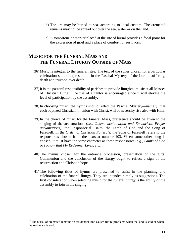- b) The urn may be buried at sea, according to local custom. The cremated remains may not be spread out over the sea, water or on the land.
- c) A tombstone or marker placed at the site of burial provides a focal point for the expression of grief and a place of comfort for survivors.

#### **MUSIC FOR THE FUNERAL MASS AND THE FUNERAL LITURGY OUTSIDE OF MASS**

- 36) Music is integral to the funeral rites. The text of the songs chosen for a particular celebration should express faith in the Paschal Mystery of the Lord's suffering, death and triumph over death.
- 37) It is the pastoral responsibility of parishes to provide liturgical music at all Masses of Christian Burial. The use of a cantor is encouraged since it will elevate the level of participation by the assembly.
- 38) In choosing music, the hymns should reflect the Paschal Mystery—namely, that each baptized Christian, in union with Christ, will of necessity rise also with Him.
- 39) In the choice of music for the Funeral Mass, preference should be given to the singing of the acclamations *(i.e., Gospel acclamation and Eucharistic Prayer acclamations)*, the Responsorial Psalm, the Lamb of God and the Song of Farewell. In the *Order of Christian Funerals*, the Song of Farewell refers to the responsories chosen from the texts at number 403. When some other song is chosen, it must have the same character as these responsories *(e.g., Saints of God*  or *I Know that My Redeemer Lives, etc.)*.
- 40) The hymns chosen for the entrance procession, presentation of the gifts, Communion and the conclusion of the liturgy ought to reflect a sign of the resurrection and Christian hope.
- 41) The following titles of hymns are presented to assist in the planning and celebration of the funeral liturgy. They are intended simply as suggestions. The first consideration when selecting music for the funeral liturgy is the ability of the assembly to join in the singing.

<sup>&</sup>lt;sup>30</sup> The burial of cremated remains on residential land causes future problems when the land is sold or when the residence is sold.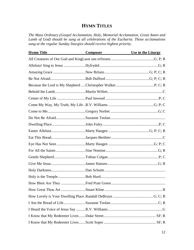### **HYMN TITLES**

*The Mass Ordinary (Gospel Acclamation, Holy, Memorial Acclamation, Great Amen and Lamb of God) should be sung at all celebrations of the Eucharist. Those acclamations sung at the regular Sunday liturgies should receive highest priority.*

| <b>Hymn Title</b> | <b>Composer</b> | Use in the Liturgy |
|-------------------|-----------------|--------------------|
|                   |                 |                    |
|                   |                 |                    |
|                   |                 |                    |
|                   |                 |                    |
|                   |                 |                    |
|                   |                 |                    |
|                   |                 |                    |
|                   |                 |                    |
|                   |                 |                    |
|                   |                 |                    |
|                   |                 |                    |
|                   |                 |                    |
|                   |                 |                    |
|                   |                 |                    |
|                   |                 |                    |
|                   |                 |                    |
|                   |                 |                    |
|                   |                 |                    |
|                   |                 |                    |
|                   |                 |                    |
|                   |                 |                    |
|                   |                 |                    |
|                   |                 |                    |
|                   |                 |                    |
|                   |                 |                    |
|                   |                 |                    |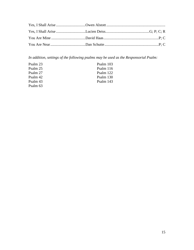*In addition, settings of the following psalms may be used as the Responsorial Psalm:*

| Psalm 23 | Psalm 103   |
|----------|-------------|
| Psalm 25 | Psalm $116$ |
| Psalm 27 | Psalm 122   |
| Psalm 42 | Psalm 130   |
| Psalm 43 | Psalm 143   |
| Psalm 63 |             |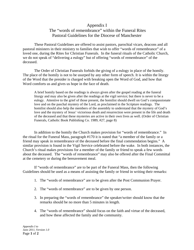#### Appendix I

#### The "words of remembrance" within the Funeral Rites Pastoral Guidelines for the Diocese of Manchester

These Pastoral Guidelines are offered to assist pastors, parochial vicars, deacons and all pastoral ministers in their ministry to families that wish to offer "words of remembrance" of a loved one, during the Rites for Christian Funerals. In the funeral rituals of the Catholic Church, we do not speak of "delivering a eulogy" but of offering "words of remembrance" of the deceased.

The Order of Christian Funerals forbids the giving of a eulogy in place of the homily. The place of the homily is not to be usurped by any other form of speech. It is within the liturgy of the Word that the presider is charged with breaking open the Word of God, and how that Word comforts us and gives us hope in the face of death.

A brief homily based on the readings is always given after the gospel reading at the funeral liturgy and may also be given after the readings at the vigil service; but there is never to be a eulogy. Attentive to the grief of those present, the homilist should dwell on God's compassionate love and on the paschal mystery of the Lord, as proclaimed in the Scripture readings. The homilist should also help the members of the assembly to understand that the mystery of God's love and the mystery of Jesus' victorious death and resurrection were present in the life and death of the deceased and that these mysteries are active in their own lives as well. (Order of Christian Funerals, Catholic Book Publishing Co. 1989, #27, page 8)

In addition to the homily the Church makes provision for "words of remembrance." In the ritual for the Funeral Mass, paragraph #170 it is stated that "a member of the family or a friend may speak in remembrance of the deceased before the final commendation begins." A similar provision is found in the Vigil Service celebrated before the wake. In both instances, the Church's ritual makes provisions for a member of the family or friend to speak a few words about the deceased. The "words of remembrance" may also be offered after the Final Committal at the cemetery or during the bereavement meal.

If "words of remembrance" are to be part of the Funeral Mass, then the following Guidelines should be used as a means of assisting the family or friend in writing their remarks:

- 1. The "words of remembrance" are to be given after the Post Communion Prayer.
- 2. The "words of remembrance" are to be given by one person.
- 3. In preparing the "words of remembrance" the speaker/writer should know that the remarks should be no more than 5 minutes in length.
- 4. The "words of remembrance" should focus on the faith and virtue of the deceased, and how these affected the family and the community.

*Appendix I to June 2011, Version 1.0*  Page **1** of **2**